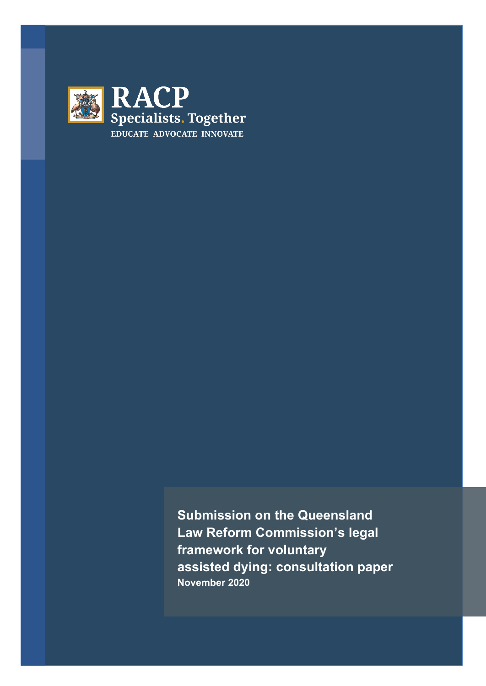

**Submission on the Queensland Law Reform Commission's legal framework for voluntary assisted dying: consultation paper November 2020**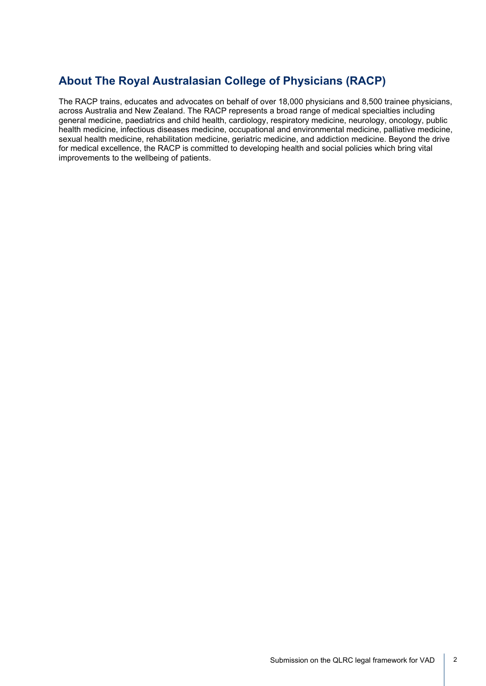## **About The Royal Australasian College of Physicians (RACP)**

The RACP trains, educates and advocates on behalf of over 18,000 physicians and 8,500 trainee physicians, across Australia and New Zealand. The RACP represents a broad range of medical specialties including general medicine, paediatrics and child health, cardiology, respiratory medicine, neurology, oncology, public health medicine, infectious diseases medicine, occupational and environmental medicine, palliative medicine, sexual health medicine, rehabilitation medicine, geriatric medicine, and addiction medicine. Beyond the drive for medical excellence, the RACP is committed to developing health and social policies which bring vital improvements to the wellbeing of patients.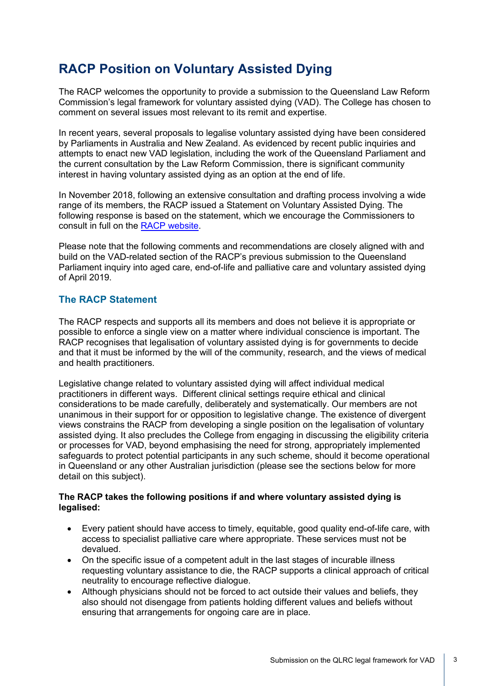# **RACP Position on Voluntary Assisted Dying**

The RACP welcomes the opportunity to provide a submission to the Queensland Law Reform Commission's legal framework for voluntary assisted dying (VAD). The College has chosen to comment on several issues most relevant to its remit and expertise.

In recent years, several proposals to legalise voluntary assisted dying have been considered by Parliaments in Australia and New Zealand. As evidenced by recent public inquiries and attempts to enact new VAD legislation, including the work of the Queensland Parliament and the current consultation by the Law Reform Commission, there is significant community interest in having voluntary assisted dying as an option at the end of life.

In November 2018, following an extensive consultation and drafting process involving a wide range of its members, the RACP issued a Statement on Voluntary Assisted Dying. The following response is based on the statement, which we encourage the Commissioners to consult in full on the [RACP website.](https://www.racp.edu.au/docs/default-source/advocacy-library/racp-voluntary-assisted-dying-statement-november-2018.pdf?sfvrsn=761d121a_4)

Please note that the following comments and recommendations are closely aligned with and build on the VAD-related section of the RACP's previous submission to the Queensland Parliament inquiry into aged care, end-of-life and palliative care and voluntary assisted dying of April 2019.

## **The RACP Statement**

The RACP respects and supports all its members and does not believe it is appropriate or possible to enforce a single view on a matter where individual conscience is important. The RACP recognises that legalisation of voluntary assisted dying is for governments to decide and that it must be informed by the will of the community, research, and the views of medical and health practitioners.

Legislative change related to voluntary assisted dying will affect individual medical practitioners in different ways. Different clinical settings require ethical and clinical considerations to be made carefully, deliberately and systematically. Our members are not unanimous in their support for or opposition to legislative change. The existence of divergent views constrains the RACP from developing a single position on the legalisation of voluntary assisted dying. It also precludes the College from engaging in discussing the eligibility criteria or processes for VAD, beyond emphasising the need for strong, appropriately implemented safeguards to protect potential participants in any such scheme, should it become operational in Queensland or any other Australian jurisdiction (please see the sections below for more detail on this subject).

#### **The RACP takes the following positions if and where voluntary assisted dying is legalised:**

- Every patient should have access to timely, equitable, good quality end-of-life care, with access to specialist palliative care where appropriate. These services must not be devalued.
- On the specific issue of a competent adult in the last stages of incurable illness requesting voluntary assistance to die, the RACP supports a clinical approach of critical neutrality to encourage reflective dialogue.
- Although physicians should not be forced to act outside their values and beliefs, they also should not disengage from patients holding different values and beliefs without ensuring that arrangements for ongoing care are in place.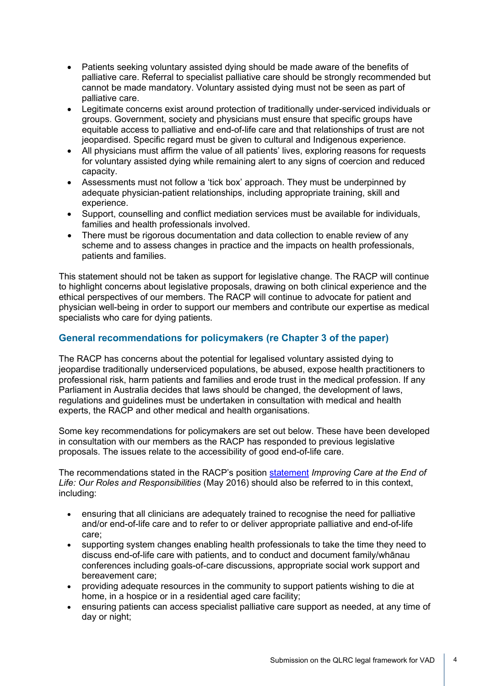- Patients seeking voluntary assisted dying should be made aware of the benefits of palliative care. Referral to specialist palliative care should be strongly recommended but cannot be made mandatory. Voluntary assisted dying must not be seen as part of palliative care.
- Legitimate concerns exist around protection of traditionally under-serviced individuals or groups. Government, society and physicians must ensure that specific groups have equitable access to palliative and end-of-life care and that relationships of trust are not jeopardised. Specific regard must be given to cultural and Indigenous experience.
- All physicians must affirm the value of all patients' lives, exploring reasons for requests for voluntary assisted dying while remaining alert to any signs of coercion and reduced capacity.
- Assessments must not follow a 'tick box' approach. They must be underpinned by adequate physician-patient relationships, including appropriate training, skill and experience.
- Support, counselling and conflict mediation services must be available for individuals, families and health professionals involved.
- There must be rigorous documentation and data collection to enable review of any scheme and to assess changes in practice and the impacts on health professionals, patients and families.

This statement should not be taken as support for legislative change. The RACP will continue to highlight concerns about legislative proposals, drawing on both clinical experience and the ethical perspectives of our members. The RACP will continue to advocate for patient and physician well-being in order to support our members and contribute our expertise as medical specialists who care for dying patients.

## **General recommendations for policymakers (re Chapter 3 of the paper)**

The RACP has concerns about the potential for legalised voluntary assisted dying to jeopardise traditionally underserviced populations, be abused, expose health practitioners to professional risk, harm patients and families and erode trust in the medical profession. If any Parliament in Australia decides that laws should be changed, the development of laws, regulations and guidelines must be undertaken in consultation with medical and health experts, the RACP and other medical and health organisations.

Some key recommendations for policymakers are set out below. These have been developed in consultation with our members as the RACP has responded to previous legislative proposals. The issues relate to the accessibility of good end-of-life care.

The recommendations stated in the RACP's position [statement](https://www.racp.edu.au/docs/default-source/advocacy-library/pa-pos-end-of-life-position-statement.pdf?sfvrsn=14ce321a_6) *Improving Care at the End of Life: Our Roles and Responsibilities* (May 2016) should also be referred to in this context, including:

- ensuring that all clinicians are adequately trained to recognise the need for palliative and/or end-of-life care and to refer to or deliver appropriate palliative and end-of-life care;
- supporting system changes enabling health professionals to take the time they need to discuss end-of-life care with patients, and to conduct and document family/whānau conferences including goals-of-care discussions, appropriate social work support and bereavement care;
- providing adequate resources in the community to support patients wishing to die at home, in a hospice or in a residential aged care facility;
- ensuring patients can access specialist palliative care support as needed, at any time of day or night;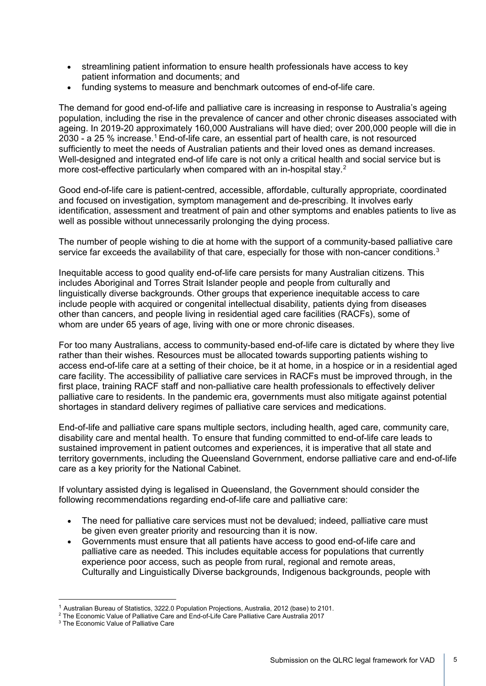- streamlining patient information to ensure health professionals have access to key patient information and documents; and
- funding systems to measure and benchmark outcomes of end-of-life care.

The demand for good end-of-life and palliative care is increasing in response to Australia's ageing population, including the rise in the prevalence of cancer and other chronic diseases associated with ageing. In 2019-20 approximately 160,000 Australians will have died; over 200,000 people will die in 2030 - a 25 % increase.<sup>[1](#page-4-0)</sup> End-of-life care, an essential part of health care, is not resourced sufficiently to meet the needs of Australian patients and their loved ones as demand increases. Well-designed and integrated end-of life care is not only a critical health and social service but is more cost-effective particularly when compared with an in-hospital stay.<sup>[2](#page-4-1)</sup>

Good end-of-life care is patient-centred, accessible, affordable, culturally appropriate, coordinated and focused on investigation, symptom management and de-prescribing. It involves early identification, assessment and treatment of pain and other symptoms and enables patients to live as well as possible without unnecessarily prolonging the dying process.

The number of people wishing to die at home with the support of a community-based palliative care service far exceeds the availability of that care, especially for those with non-cancer conditions.<sup>[3](#page-4-2)</sup>

Inequitable access to good quality end-of-life care persists for many Australian citizens. This includes Aboriginal and Torres Strait Islander people and people from culturally and linguistically diverse backgrounds. Other groups that experience inequitable access to care include people with acquired or congenital intellectual disability, patients dying from diseases other than cancers, and people living in residential aged care facilities (RACFs), some of whom are under 65 years of age, living with one or more chronic diseases.

For too many Australians, access to community-based end-of-life care is dictated by where they live rather than their wishes. Resources must be allocated towards supporting patients wishing to access end-of-life care at a setting of their choice, be it at home, in a hospice or in a residential aged care facility. The accessibility of palliative care services in RACFs must be improved through, in the first place, training RACF staff and non-palliative care health professionals to effectively deliver palliative care to residents. In the pandemic era, governments must also mitigate against potential shortages in standard delivery regimes of palliative care services and medications.

End-of-life and palliative care spans multiple sectors, including health, aged care, community care, disability care and mental health. To ensure that funding committed to end-of-life care leads to sustained improvement in patient outcomes and experiences, it is imperative that all state and territory governments, including the Queensland Government, endorse palliative care and end-of-life care as a key priority for the National Cabinet.

If voluntary assisted dying is legalised in Queensland, the Government should consider the following recommendations regarding end-of-life care and palliative care:

- The need for palliative care services must not be devalued; indeed, palliative care must be given even greater priority and resourcing than it is now.
- Governments must ensure that all patients have access to good end-of-life care and palliative care as needed. This includes equitable access for populations that currently experience poor access, such as people from rural, regional and remote areas, Culturally and Linguistically Diverse backgrounds, Indigenous backgrounds, people with

<sup>1</sup> Australian Bureau of Statistics, 3222.0 Population Projections, Australia, 2012 (base) to 2101.

<span id="page-4-1"></span><span id="page-4-0"></span><sup>2</sup> The Economic Value of Palliative Care and End-of-Life Care Palliative Care Australia 2017

<span id="page-4-2"></span><sup>3</sup> The Economic Value of Palliative Care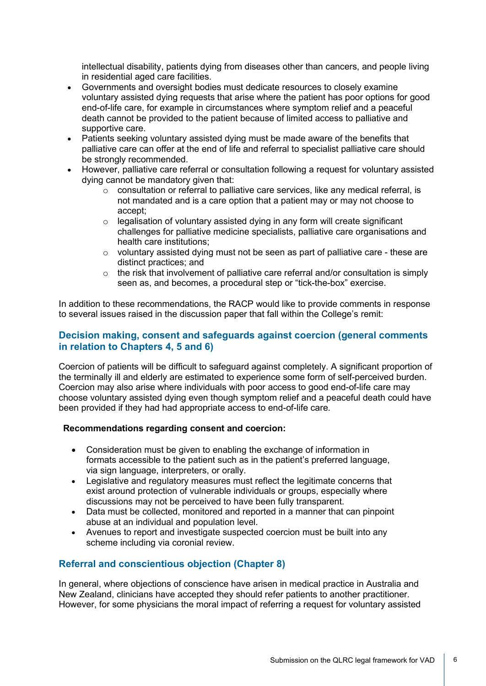intellectual disability, patients dying from diseases other than cancers, and people living in residential aged care facilities.

- Governments and oversight bodies must dedicate resources to closely examine voluntary assisted dying requests that arise where the patient has poor options for good end-of-life care, for example in circumstances where symptom relief and a peaceful death cannot be provided to the patient because of limited access to palliative and supportive care.
- Patients seeking voluntary assisted dying must be made aware of the benefits that palliative care can offer at the end of life and referral to specialist palliative care should be strongly recommended.
- However, palliative care referral or consultation following a request for voluntary assisted dying cannot be mandatory given that:
	- $\circ$  consultation or referral to palliative care services, like any medical referral, is not mandated and is a care option that a patient may or may not choose to accept;
	- $\circ$  legalisation of voluntary assisted dying in any form will create significant challenges for palliative medicine specialists, palliative care organisations and health care institutions;
	- o voluntary assisted dying must not be seen as part of palliative care these are distinct practices; and
	- $\circ$  the risk that involvement of palliative care referral and/or consultation is simply seen as, and becomes, a procedural step or "tick-the-box" exercise.

In addition to these recommendations, the RACP would like to provide comments in response to several issues raised in the discussion paper that fall within the College's remit:

## **Decision making, consent and safeguards against coercion (general comments in relation to Chapters 4, 5 and 6)**

Coercion of patients will be difficult to safeguard against completely. A significant proportion of the terminally ill and elderly are estimated to experience some form of self-perceived burden. Coercion may also arise where individuals with poor access to good end-of-life care may choose voluntary assisted dying even though symptom relief and a peaceful death could have been provided if they had had appropriate access to end-of-life care.

#### **Recommendations regarding consent and coercion:**

- Consideration must be given to enabling the exchange of information in formats accessible to the patient such as in the patient's preferred language, via sign language, interpreters, or orally.
- Legislative and regulatory measures must reflect the legitimate concerns that exist around protection of vulnerable individuals or groups, especially where discussions may not be perceived to have been fully transparent.
- Data must be collected, monitored and reported in a manner that can pinpoint abuse at an individual and population level.
- Avenues to report and investigate suspected coercion must be built into any scheme including via coronial review.

## **Referral and conscientious objection (Chapter 8)**

In general, where objections of conscience have arisen in medical practice in Australia and New Zealand, clinicians have accepted they should refer patients to another practitioner. However, for some physicians the moral impact of referring a request for voluntary assisted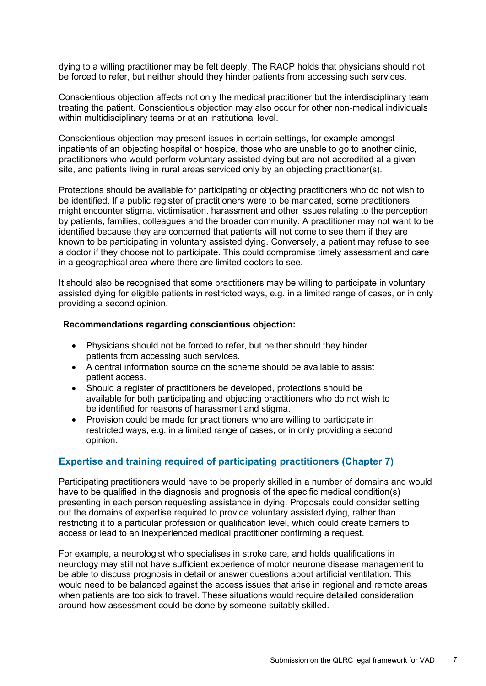dying to a willing practitioner may be felt deeply. The RACP holds that physicians should not be forced to refer, but neither should they hinder patients from accessing such services.

Conscientious objection affects not only the medical practitioner but the interdisciplinary team treating the patient. Conscientious objection may also occur for other non-medical individuals within multidisciplinary teams or at an institutional level.

Conscientious objection may present issues in certain settings, for example amongst inpatients of an objecting hospital or hospice, those who are unable to go to another clinic, practitioners who would perform voluntary assisted dying but are not accredited at a given site, and patients living in rural areas serviced only by an objecting practitioner(s).

Protections should be available for participating or objecting practitioners who do not wish to be identified. If a public register of practitioners were to be mandated, some practitioners might encounter stigma, victimisation, harassment and other issues relating to the perception by patients, families, colleagues and the broader community. A practitioner may not want to be identified because they are concerned that patients will not come to see them if they are known to be participating in voluntary assisted dying. Conversely, a patient may refuse to see a doctor if they choose not to participate. This could compromise timely assessment and care in a geographical area where there are limited doctors to see.

It should also be recognised that some practitioners may be willing to participate in voluntary assisted dying for eligible patients in restricted ways, e.g. in a limited range of cases, or in only providing a second opinion.

#### **Recommendations regarding conscientious objection:**

- Physicians should not be forced to refer, but neither should they hinder patients from accessing such services.
- A central information source on the scheme should be available to assist patient access.
- Should a register of practitioners be developed, protections should be available for both participating and objecting practitioners who do not wish to be identified for reasons of harassment and stigma.
- Provision could be made for practitioners who are willing to participate in restricted ways, e.g. in a limited range of cases, or in only providing a second opinion.

## **Expertise and training required of participating practitioners (Chapter 7)**

Participating practitioners would have to be properly skilled in a number of domains and would have to be qualified in the diagnosis and prognosis of the specific medical condition(s) presenting in each person requesting assistance in dying. Proposals could consider setting out the domains of expertise required to provide voluntary assisted dying, rather than restricting it to a particular profession or qualification level, which could create barriers to access or lead to an inexperienced medical practitioner confirming a request.

For example, a neurologist who specialises in stroke care, and holds qualifications in neurology may still not have sufficient experience of motor neurone disease management to be able to discuss prognosis in detail or answer questions about artificial ventilation. This would need to be balanced against the access issues that arise in regional and remote areas when patients are too sick to travel. These situations would require detailed consideration around how assessment could be done by someone suitably skilled.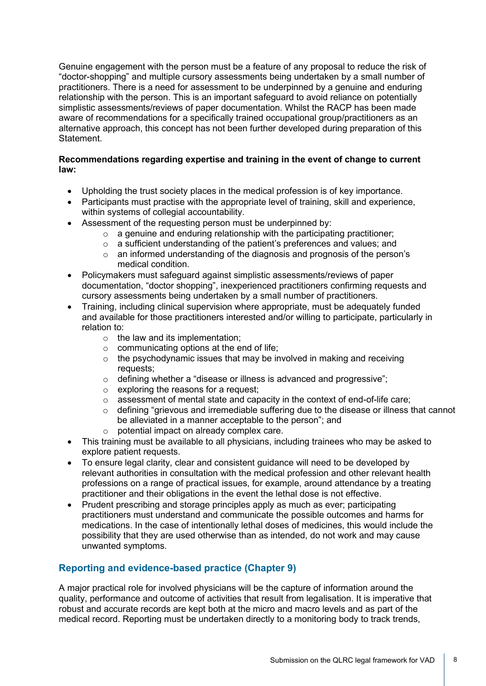Genuine engagement with the person must be a feature of any proposal to reduce the risk of "doctor-shopping" and multiple cursory assessments being undertaken by a small number of practitioners. There is a need for assessment to be underpinned by a genuine and enduring relationship with the person. This is an important safeguard to avoid reliance on potentially simplistic assessments/reviews of paper documentation. Whilst the RACP has been made aware of recommendations for a specifically trained occupational group/practitioners as an alternative approach, this concept has not been further developed during preparation of this Statement.

#### **Recommendations regarding expertise and training in the event of change to current law:**

- Upholding the trust society places in the medical profession is of key importance.
- Participants must practise with the appropriate level of training, skill and experience, within systems of collegial accountability.
- Assessment of the requesting person must be underpinned by:
	- $\circ$  a genuine and enduring relationship with the participating practitioner;
	- o a sufficient understanding of the patient's preferences and values; and
	- $\circ$  an informed understanding of the diagnosis and prognosis of the person's medical condition.
- Policymakers must safeguard against simplistic assessments/reviews of paper documentation, "doctor shopping", inexperienced practitioners confirming requests and cursory assessments being undertaken by a small number of practitioners.
- Training, including clinical supervision where appropriate, must be adequately funded and available for those practitioners interested and/or willing to participate, particularly in relation to:
	- $\circ$  the law and its implementation;
	- $\circ$  communicating options at the end of life;
	- $\circ$  the psychodynamic issues that may be involved in making and receiving requests;
	- o defining whether a "disease or illness is advanced and progressive";
	- o exploring the reasons for a request;
	- assessment of mental state and capacity in the context of end-of-life care;
	- $\circ$  defining "grievous and irremediable suffering due to the disease or illness that cannot be alleviated in a manner acceptable to the person"; and
	- o potential impact on already complex care.
- This training must be available to all physicians, including trainees who may be asked to explore patient requests.
- To ensure legal clarity, clear and consistent guidance will need to be developed by relevant authorities in consultation with the medical profession and other relevant health professions on a range of practical issues, for example, around attendance by a treating practitioner and their obligations in the event the lethal dose is not effective.
- Prudent prescribing and storage principles apply as much as ever; participating practitioners must understand and communicate the possible outcomes and harms for medications. In the case of intentionally lethal doses of medicines, this would include the possibility that they are used otherwise than as intended, do not work and may cause unwanted symptoms.

## **Reporting and evidence-based practice (Chapter 9)**

A major practical role for involved physicians will be the capture of information around the quality, performance and outcome of activities that result from legalisation. It is imperative that robust and accurate records are kept both at the micro and macro levels and as part of the medical record. Reporting must be undertaken directly to a monitoring body to track trends,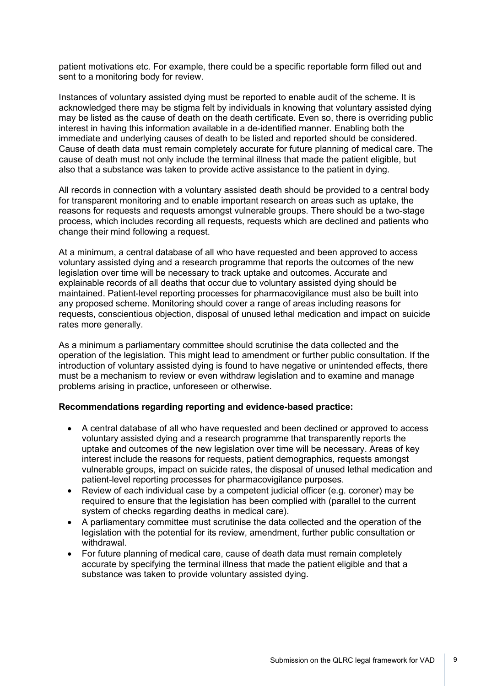patient motivations etc. For example, there could be a specific reportable form filled out and sent to a monitoring body for review.

Instances of voluntary assisted dying must be reported to enable audit of the scheme. It is acknowledged there may be stigma felt by individuals in knowing that voluntary assisted dying may be listed as the cause of death on the death certificate. Even so, there is overriding public interest in having this information available in a de-identified manner. Enabling both the immediate and underlying causes of death to be listed and reported should be considered. Cause of death data must remain completely accurate for future planning of medical care. The cause of death must not only include the terminal illness that made the patient eligible, but also that a substance was taken to provide active assistance to the patient in dying.

All records in connection with a voluntary assisted death should be provided to a central body for transparent monitoring and to enable important research on areas such as uptake, the reasons for requests and requests amongst vulnerable groups. There should be a two-stage process, which includes recording all requests, requests which are declined and patients who change their mind following a request.

At a minimum, a central database of all who have requested and been approved to access voluntary assisted dying and a research programme that reports the outcomes of the new legislation over time will be necessary to track uptake and outcomes. Accurate and explainable records of all deaths that occur due to voluntary assisted dying should be maintained. Patient-level reporting processes for pharmacovigilance must also be built into any proposed scheme. Monitoring should cover a range of areas including reasons for requests, conscientious objection, disposal of unused lethal medication and impact on suicide rates more generally.

As a minimum a parliamentary committee should scrutinise the data collected and the operation of the legislation. This might lead to amendment or further public consultation. If the introduction of voluntary assisted dying is found to have negative or unintended effects, there must be a mechanism to review or even withdraw legislation and to examine and manage problems arising in practice, unforeseen or otherwise.

#### **Recommendations regarding reporting and evidence-based practice:**

- A central database of all who have requested and been declined or approved to access voluntary assisted dying and a research programme that transparently reports the uptake and outcomes of the new legislation over time will be necessary. Areas of key interest include the reasons for requests, patient demographics, requests amongst vulnerable groups, impact on suicide rates, the disposal of unused lethal medication and patient-level reporting processes for pharmacovigilance purposes.
- Review of each individual case by a competent judicial officer (e.g. coroner) may be required to ensure that the legislation has been complied with (parallel to the current system of checks regarding deaths in medical care).
- A parliamentary committee must scrutinise the data collected and the operation of the legislation with the potential for its review, amendment, further public consultation or withdrawal.
- For future planning of medical care, cause of death data must remain completely accurate by specifying the terminal illness that made the patient eligible and that a substance was taken to provide voluntary assisted dying.